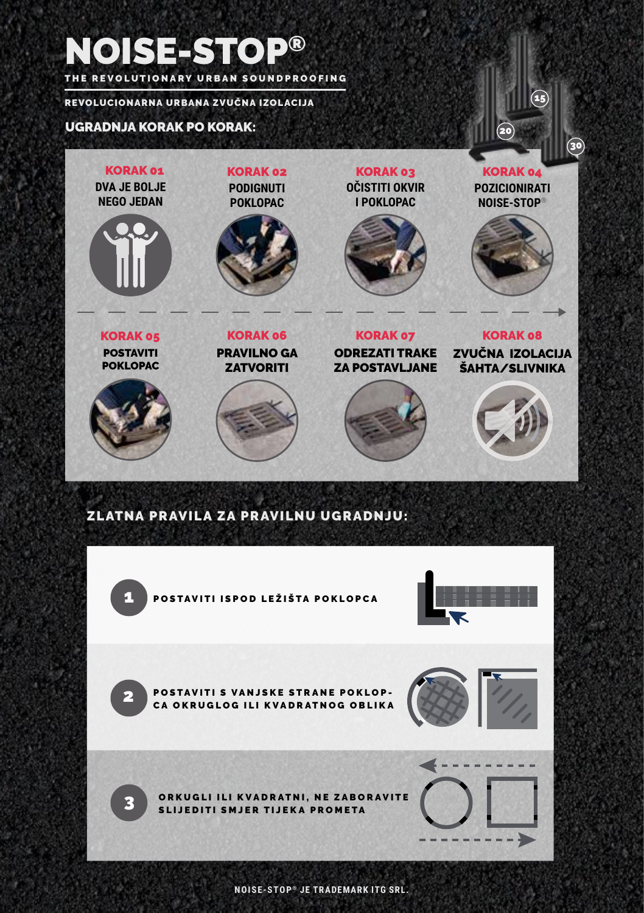# NOISE-STOP® THE REVOLUTIONARY URBAN SOUNDPROOFING

REVOLUCIONARNA URBANA ZVUČNA IZOLACIJA

## UGRADNJA KORAK PO KORAK:

**DVA JE BOLJE NEGO JEDAN** KORAK 01 POSTAVITI POKLOPAC KORAK 05 **PODIGNUTI POKLOPAC** KORAK 02 PRAVILNO GA **ZATVORITI** KORAK 06 **POZICIONIRATI NOISE-STOP®** KORAK 04 ZVUČNA IZOLACIJA ŠAHTA/SLIVNIKA KORAK 08 **OČISTITI OKVIR I POKLOPAC** KORAK 03 ODREZATI TRAKE ZA POSTAVLJANE KORAK 07

15

30

20

## ZLATNA PRAVILA ZA PRAVILNU UGRADNJU:



**NOISE-STOP ® JE TRADEMARK ITG SRL.**